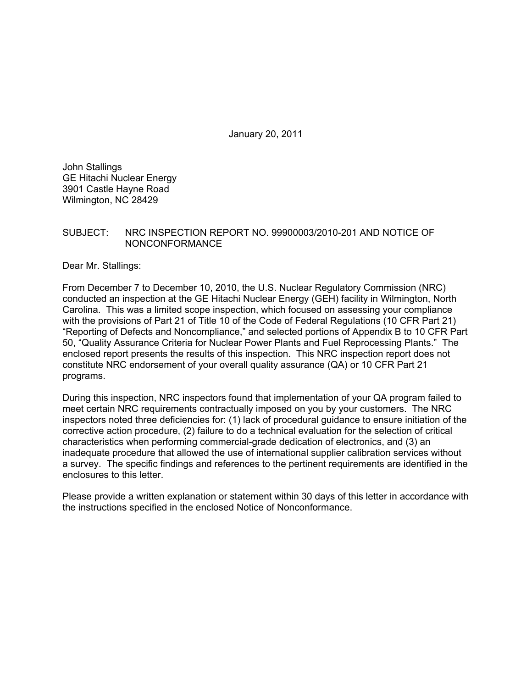January 20, 2011

John Stallings GE Hitachi Nuclear Energy 3901 Castle Hayne Road Wilmington, NC 28429

### SUBJECT: NRC INSPECTION REPORT NO. 99900003/2010-201 AND NOTICE OF NONCONFORMANCE

Dear Mr. Stallings:

From December 7 to December 10, 2010, the U.S. Nuclear Regulatory Commission (NRC) conducted an inspection at the GE Hitachi Nuclear Energy (GEH) facility in Wilmington, North Carolina. This was a limited scope inspection, which focused on assessing your compliance with the provisions of Part 21 of Title 10 of the Code of Federal Regulations (10 CFR Part 21) "Reporting of Defects and Noncompliance," and selected portions of Appendix B to 10 CFR Part 50, "Quality Assurance Criteria for Nuclear Power Plants and Fuel Reprocessing Plants." The enclosed report presents the results of this inspection. This NRC inspection report does not constitute NRC endorsement of your overall quality assurance (QA) or 10 CFR Part 21 programs.

During this inspection, NRC inspectors found that implementation of your QA program failed to meet certain NRC requirements contractually imposed on you by your customers. The NRC inspectors noted three deficiencies for: (1) lack of procedural guidance to ensure initiation of the corrective action procedure, (2) failure to do a technical evaluation for the selection of critical characteristics when performing commercial-grade dedication of electronics, and (3) an inadequate procedure that allowed the use of international supplier calibration services without a survey. The specific findings and references to the pertinent requirements are identified in the enclosures to this letter.

Please provide a written explanation or statement within 30 days of this letter in accordance with the instructions specified in the enclosed Notice of Nonconformance.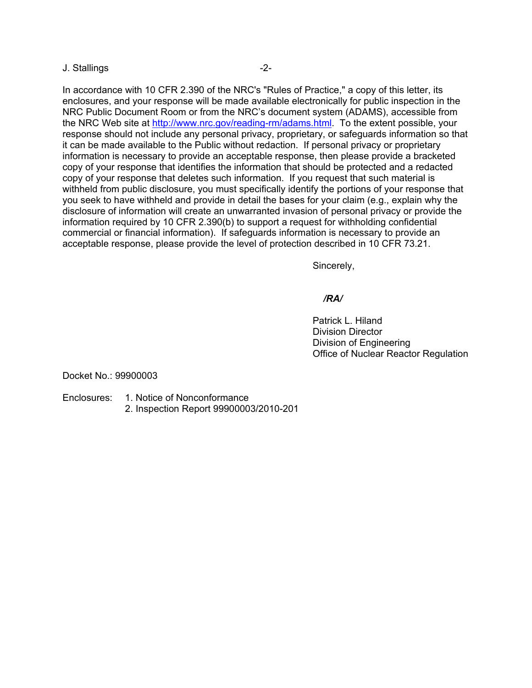#### J. Stallings -2-

In accordance with 10 CFR 2.390 of the NRC's "Rules of Practice," a copy of this letter, its enclosures, and your response will be made available electronically for public inspection in the NRC Public Document Room or from the NRC's document system (ADAMS), accessible from the NRC Web site at http://www.nrc.gov/reading-rm/adams.html. To the extent possible, your response should not include any personal privacy, proprietary, or safeguards information so that it can be made available to the Public without redaction. If personal privacy or proprietary information is necessary to provide an acceptable response, then please provide a bracketed copy of your response that identifies the information that should be protected and a redacted copy of your response that deletes such information. If you request that such material is withheld from public disclosure, you must specifically identify the portions of your response that you seek to have withheld and provide in detail the bases for your claim (e.g., explain why the disclosure of information will create an unwarranted invasion of personal privacy or provide the information required by 10 CFR 2.390(b) to support a request for withholding confidential commercial or financial information). If safeguards information is necessary to provide an acceptable response, please provide the level of protection described in 10 CFR 73.21.

Sincerely,

## */RA/*

 Patrick L. Hiland Division Director Division of Engineering Office of Nuclear Reactor Regulation

Docket No.: 99900003

- Enclosures: 1. Notice of Nonconformance
	- 2. Inspection Report 99900003/2010-201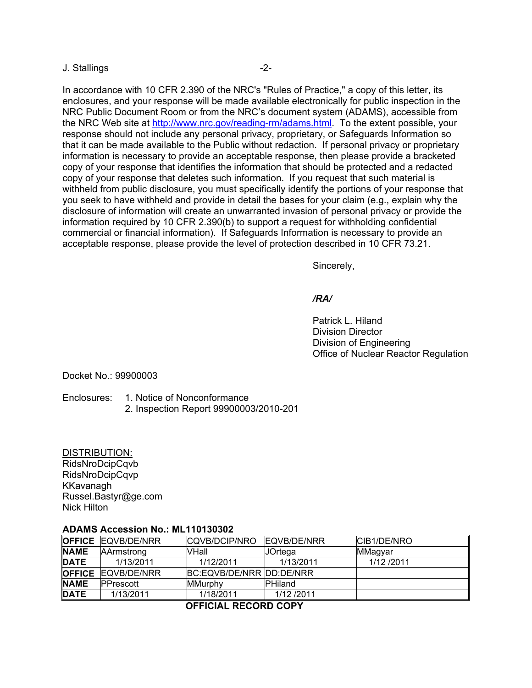#### J. Stallings -2-

In accordance with 10 CFR 2.390 of the NRC's "Rules of Practice," a copy of this letter, its enclosures, and your response will be made available electronically for public inspection in the NRC Public Document Room or from the NRC's document system (ADAMS), accessible from the NRC Web site at http://www.nrc.gov/reading-rm/adams.html. To the extent possible, your response should not include any personal privacy, proprietary, or Safeguards Information so that it can be made available to the Public without redaction. If personal privacy or proprietary information is necessary to provide an acceptable response, then please provide a bracketed copy of your response that identifies the information that should be protected and a redacted copy of your response that deletes such information. If you request that such material is withheld from public disclosure, you must specifically identify the portions of your response that you seek to have withheld and provide in detail the bases for your claim (e.g., explain why the disclosure of information will create an unwarranted invasion of personal privacy or provide the information required by 10 CFR 2.390(b) to support a request for withholding confidential commercial or financial information). If Safeguards Information is necessary to provide an acceptable response, please provide the level of protection described in 10 CFR 73.21.

Sincerely,

### */RA/*

 Patrick L. Hiland Division Director Division of Engineering Office of Nuclear Reactor Regulation

Docket No.: 99900003

Enclosures: 1. Notice of Nonconformance 2. Inspection Report 99900003/2010-201

#### DISTRIBUTION:

RidsNroDcipCqvb RidsNroDcipCqvp KKavanagh Russel.Bastyr@ge.com Nick Hilton

### **ADAMS Accession No.: ML110130302**

|               | <b>OFFICE EQVB/DE/NRR</b> | CQVB/DCIP/NRO            | EQVB/DE/NRR    | CIB1/DE/NRO |
|---------------|---------------------------|--------------------------|----------------|-------------|
| <b>NAME</b>   | AArmstrong                | VHall                    | JOrtega        | MMagyar     |
| <b>DATE</b>   | 1/13/2011                 | 1/12/2011                | 1/13/2011      | 1/12/2011   |
| <b>OFFICE</b> | EQVB/DE/NRR               | BC:EQVB/DE/NRR DD:DE/NRR |                |             |
| <b>NAME</b>   | <b>PPrescott</b>          | <b>MMurphy</b>           | <b>PHiland</b> |             |
| <b>DATE</b>   | 1/13/2011                 | 1/18/2011                | 1/12/2011      |             |

 **OFFICIAL RECORD COPY**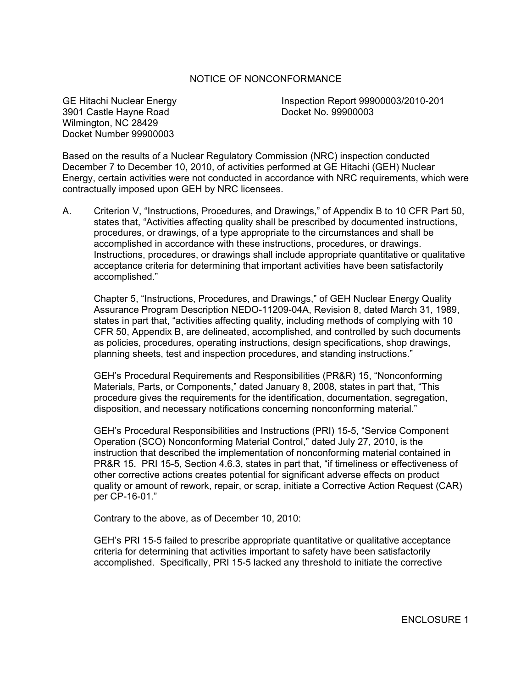## NOTICE OF NONCONFORMANCE

3901 Castle Hayne Road Docket No. 99900003 Wilmington, NC 28429 Docket Number 99900003

GE Hitachi Nuclear Energy Inspection Report 99900003/2010-201

Based on the results of a Nuclear Regulatory Commission (NRC) inspection conducted December 7 to December 10, 2010, of activities performed at GE Hitachi (GEH) Nuclear Energy, certain activities were not conducted in accordance with NRC requirements, which were contractually imposed upon GEH by NRC licensees.

A. Criterion V, "Instructions, Procedures, and Drawings," of Appendix B to 10 CFR Part 50, states that, "Activities affecting quality shall be prescribed by documented instructions, procedures, or drawings, of a type appropriate to the circumstances and shall be accomplished in accordance with these instructions, procedures, or drawings. Instructions, procedures, or drawings shall include appropriate quantitative or qualitative acceptance criteria for determining that important activities have been satisfactorily accomplished."

Chapter 5, "Instructions, Procedures, and Drawings," of GEH Nuclear Energy Quality Assurance Program Description NEDO-11209-04A, Revision 8, dated March 31, 1989, states in part that, "activities affecting quality, including methods of complying with 10 CFR 50, Appendix B, are delineated, accomplished, and controlled by such documents as policies, procedures, operating instructions, design specifications, shop drawings, planning sheets, test and inspection procedures, and standing instructions."

GEH's Procedural Requirements and Responsibilities (PR&R) 15, "Nonconforming Materials, Parts, or Components," dated January 8, 2008, states in part that, "This procedure gives the requirements for the identification, documentation, segregation, disposition, and necessary notifications concerning nonconforming material."

GEH's Procedural Responsibilities and Instructions (PRI) 15-5, "Service Component Operation (SCO) Nonconforming Material Control," dated July 27, 2010, is the instruction that described the implementation of nonconforming material contained in PR&R 15. PRI 15-5, Section 4.6.3, states in part that, "if timeliness or effectiveness of other corrective actions creates potential for significant adverse effects on product quality or amount of rework, repair, or scrap, initiate a Corrective Action Request (CAR) per CP-16-01."

Contrary to the above, as of December 10, 2010:

GEH's PRI 15-5 failed to prescribe appropriate quantitative or qualitative acceptance criteria for determining that activities important to safety have been satisfactorily accomplished. Specifically, PRI 15-5 lacked any threshold to initiate the corrective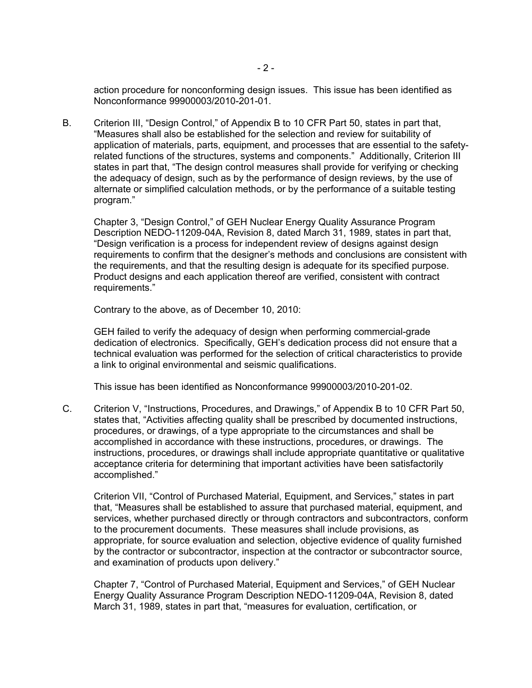action procedure for nonconforming design issues. This issue has been identified as Nonconformance 99900003/2010-201-01.

B. Criterion III, "Design Control," of Appendix B to 10 CFR Part 50, states in part that, "Measures shall also be established for the selection and review for suitability of application of materials, parts, equipment, and processes that are essential to the safetyrelated functions of the structures, systems and components." Additionally, Criterion III states in part that, "The design control measures shall provide for verifying or checking the adequacy of design, such as by the performance of design reviews, by the use of alternate or simplified calculation methods, or by the performance of a suitable testing program."

Chapter 3, "Design Control," of GEH Nuclear Energy Quality Assurance Program Description NEDO-11209-04A, Revision 8, dated March 31, 1989, states in part that, "Design verification is a process for independent review of designs against design requirements to confirm that the designer's methods and conclusions are consistent with the requirements, and that the resulting design is adequate for its specified purpose. Product designs and each application thereof are verified, consistent with contract requirements."

Contrary to the above, as of December 10, 2010:

GEH failed to verify the adequacy of design when performing commercial-grade dedication of electronics. Specifically, GEH's dedication process did not ensure that a technical evaluation was performed for the selection of critical characteristics to provide a link to original environmental and seismic qualifications.

This issue has been identified as Nonconformance 99900003/2010-201-02.

C. Criterion V, "Instructions, Procedures, and Drawings," of Appendix B to 10 CFR Part 50, states that, "Activities affecting quality shall be prescribed by documented instructions, procedures, or drawings, of a type appropriate to the circumstances and shall be accomplished in accordance with these instructions, procedures, or drawings. The instructions, procedures, or drawings shall include appropriate quantitative or qualitative acceptance criteria for determining that important activities have been satisfactorily accomplished."

Criterion VII, "Control of Purchased Material, Equipment, and Services," states in part that, "Measures shall be established to assure that purchased material, equipment, and services, whether purchased directly or through contractors and subcontractors, conform to the procurement documents. These measures shall include provisions, as appropriate, for source evaluation and selection, objective evidence of quality furnished by the contractor or subcontractor, inspection at the contractor or subcontractor source, and examination of products upon delivery."

Chapter 7, "Control of Purchased Material, Equipment and Services," of GEH Nuclear Energy Quality Assurance Program Description NEDO-11209-04A, Revision 8, dated March 31, 1989, states in part that, "measures for evaluation, certification, or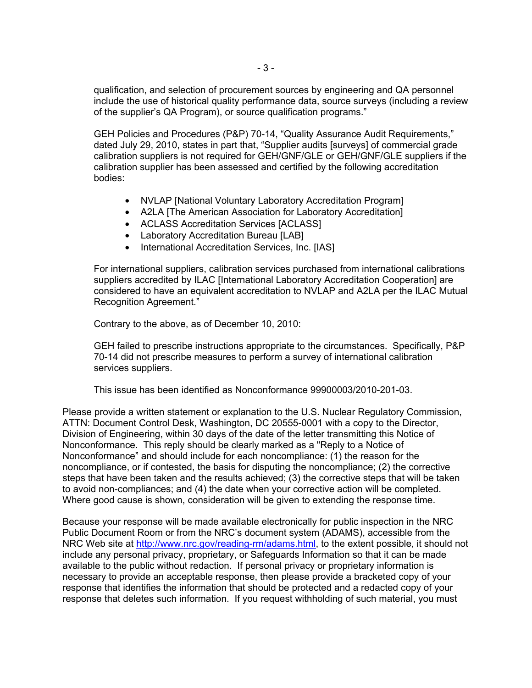qualification, and selection of procurement sources by engineering and QA personnel include the use of historical quality performance data, source surveys (including a review of the supplier's QA Program), or source qualification programs."

GEH Policies and Procedures (P&P) 70-14, "Quality Assurance Audit Requirements," dated July 29, 2010, states in part that, "Supplier audits [surveys] of commercial grade calibration suppliers is not required for GEH/GNF/GLE or GEH/GNF/GLE suppliers if the calibration supplier has been assessed and certified by the following accreditation bodies:

- NVLAP [National Voluntary Laboratory Accreditation Program]
- A2LA [The American Association for Laboratory Accreditation]
- ACLASS Accreditation Services [ACLASS]
- Laboratory Accreditation Bureau [LAB]
- International Accreditation Services, Inc. [IAS]

For international suppliers, calibration services purchased from international calibrations suppliers accredited by ILAC [International Laboratory Accreditation Cooperation] are considered to have an equivalent accreditation to NVLAP and A2LA per the ILAC Mutual Recognition Agreement."

Contrary to the above, as of December 10, 2010:

GEH failed to prescribe instructions appropriate to the circumstances. Specifically, P&P 70-14 did not prescribe measures to perform a survey of international calibration services suppliers.

This issue has been identified as Nonconformance 99900003/2010-201-03.

Please provide a written statement or explanation to the U.S. Nuclear Regulatory Commission, ATTN: Document Control Desk, Washington, DC 20555-0001 with a copy to the Director, Division of Engineering, within 30 days of the date of the letter transmitting this Notice of Nonconformance. This reply should be clearly marked as a "Reply to a Notice of Nonconformance" and should include for each noncompliance: (1) the reason for the noncompliance, or if contested, the basis for disputing the noncompliance; (2) the corrective steps that have been taken and the results achieved; (3) the corrective steps that will be taken to avoid non-compliances; and (4) the date when your corrective action will be completed. Where good cause is shown, consideration will be given to extending the response time.

Because your response will be made available electronically for public inspection in the NRC Public Document Room or from the NRC's document system (ADAMS), accessible from the NRC Web site at http://www.nrc.gov/reading-rm/adams.html, to the extent possible, it should not include any personal privacy, proprietary, or Safeguards Information so that it can be made available to the public without redaction. If personal privacy or proprietary information is necessary to provide an acceptable response, then please provide a bracketed copy of your response that identifies the information that should be protected and a redacted copy of your response that deletes such information. If you request withholding of such material, you must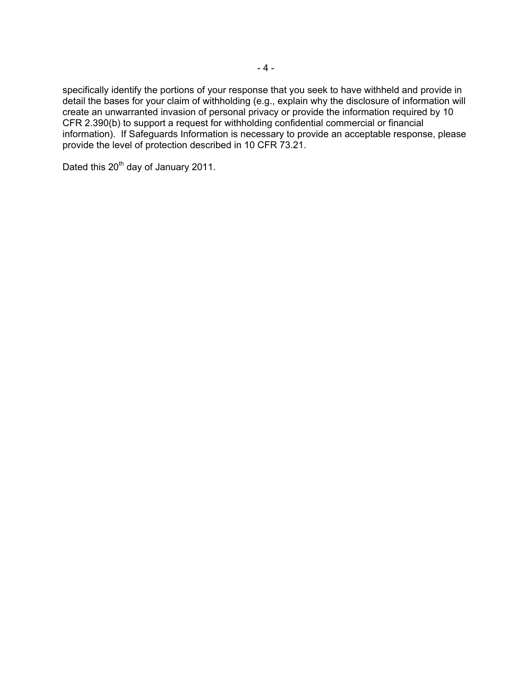specifically identify the portions of your response that you seek to have withheld and provide in detail the bases for your claim of withholding (e.g., explain why the disclosure of information will create an unwarranted invasion of personal privacy or provide the information required by 10 CFR 2.390(b) to support a request for withholding confidential commercial or financial information). If Safeguards Information is necessary to provide an acceptable response, please provide the level of protection described in 10 CFR 73.21.

Dated this 20<sup>th</sup> day of January 2011.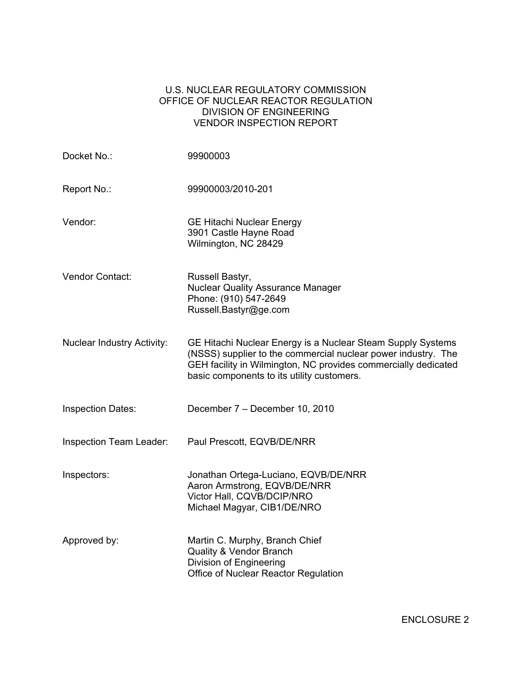# U.S. NUCLEAR REGULATORY COMMISSION OFFICE OF NUCLEAR REACTOR REGULATION DIVISION OF ENGINEERING VENDOR INSPECTION REPORT

| Docket No.:                       | 99900003                                                                                                                                                                                                                                     |
|-----------------------------------|----------------------------------------------------------------------------------------------------------------------------------------------------------------------------------------------------------------------------------------------|
| Report No.:                       | 99900003/2010-201                                                                                                                                                                                                                            |
| Vendor:                           | <b>GE Hitachi Nuclear Energy</b><br>3901 Castle Hayne Road<br>Wilmington, NC 28429                                                                                                                                                           |
| Vendor Contact:                   | Russell Bastyr,<br><b>Nuclear Quality Assurance Manager</b><br>Phone: (910) 547-2649<br>Russell.Bastyr@ge.com                                                                                                                                |
| <b>Nuclear Industry Activity:</b> | GE Hitachi Nuclear Energy is a Nuclear Steam Supply Systems<br>(NSSS) supplier to the commercial nuclear power industry. The<br>GEH facility in Wilmington, NC provides commercially dedicated<br>basic components to its utility customers. |
| <b>Inspection Dates:</b>          | December 7 – December 10, 2010                                                                                                                                                                                                               |
| Inspection Team Leader:           | Paul Prescott, EQVB/DE/NRR                                                                                                                                                                                                                   |
| Inspectors:                       | Jonathan Ortega-Luciano, EQVB/DE/NRR<br>Aaron Armstrong, EQVB/DE/NRR<br>Victor Hall, CQVB/DCIP/NRO<br>Michael Magyar, CIB1/DE/NRO                                                                                                            |
| Approved by:                      | Martin C. Murphy, Branch Chief<br><b>Quality &amp; Vendor Branch</b><br>Division of Engineering<br>Office of Nuclear Reactor Regulation                                                                                                      |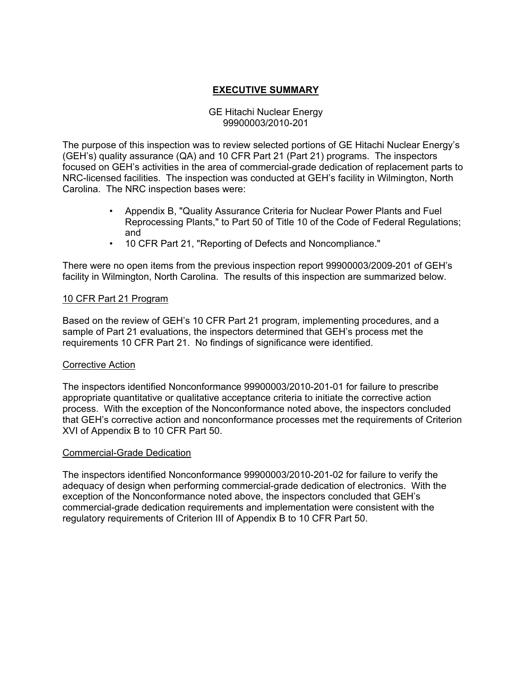# **EXECUTIVE SUMMARY**

## GE Hitachi Nuclear Energy 99900003/2010-201

The purpose of this inspection was to review selected portions of GE Hitachi Nuclear Energy's (GEH's) quality assurance (QA) and 10 CFR Part 21 (Part 21) programs. The inspectors focused on GEH's activities in the area of commercial-grade dedication of replacement parts to NRC-licensed facilities. The inspection was conducted at GEH's facility in Wilmington, North Carolina. The NRC inspection bases were:

- Appendix B, "Quality Assurance Criteria for Nuclear Power Plants and Fuel Reprocessing Plants," to Part 50 of Title 10 of the Code of Federal Regulations; and
- 10 CFR Part 21, "Reporting of Defects and Noncompliance."

There were no open items from the previous inspection report 99900003/2009-201 of GEH's facility in Wilmington, North Carolina. The results of this inspection are summarized below.

### 10 CFR Part 21 Program

Based on the review of GEH's 10 CFR Part 21 program, implementing procedures, and a sample of Part 21 evaluations, the inspectors determined that GEH's process met the requirements 10 CFR Part 21. No findings of significance were identified.

### Corrective Action

The inspectors identified Nonconformance 99900003/2010-201-01 for failure to prescribe appropriate quantitative or qualitative acceptance criteria to initiate the corrective action process. With the exception of the Nonconformance noted above, the inspectors concluded that GEH's corrective action and nonconformance processes met the requirements of Criterion XVI of Appendix B to 10 CFR Part 50.

### Commercial-Grade Dedication

The inspectors identified Nonconformance 99900003/2010-201-02 for failure to verify the adequacy of design when performing commercial-grade dedication of electronics. With the exception of the Nonconformance noted above, the inspectors concluded that GEH's commercial-grade dedication requirements and implementation were consistent with the regulatory requirements of Criterion III of Appendix B to 10 CFR Part 50.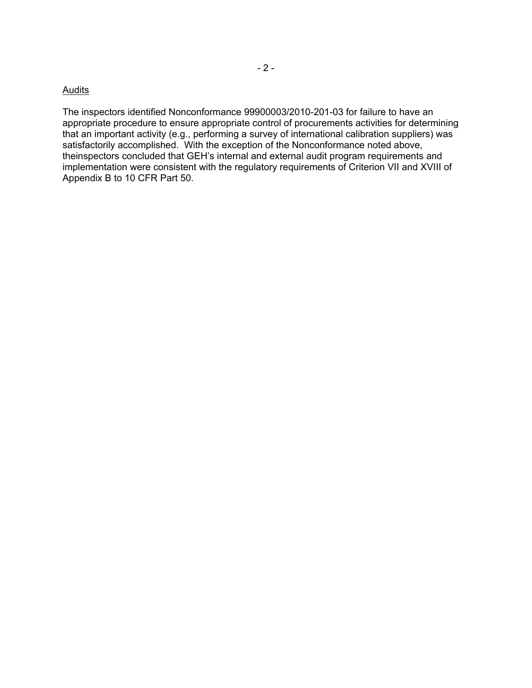### **Audits**

The inspectors identified Nonconformance 99900003/2010-201-03 for failure to have an appropriate procedure to ensure appropriate control of procurements activities for determining that an important activity (e.g., performing a survey of international calibration suppliers) was satisfactorily accomplished. With the exception of the Nonconformance noted above, theinspectors concluded that GEH's internal and external audit program requirements and implementation were consistent with the regulatory requirements of Criterion VII and XVIII of Appendix B to 10 CFR Part 50.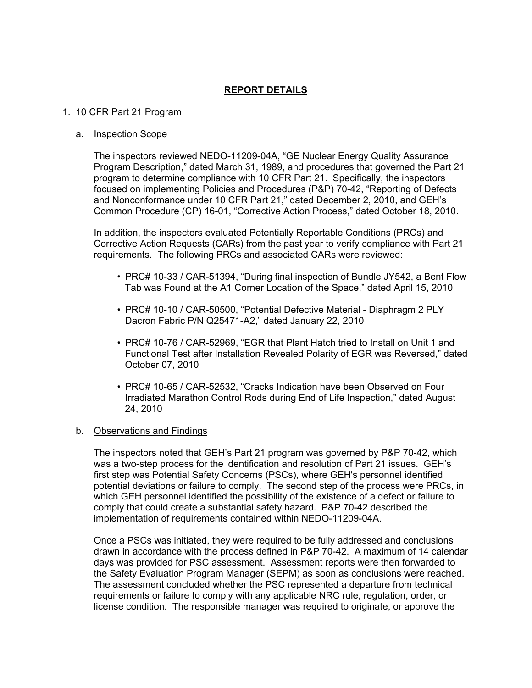# **REPORT DETAILS**

### 1. 10 CFR Part 21 Program

### a. Inspection Scope

The inspectors reviewed NEDO-11209-04A, "GE Nuclear Energy Quality Assurance Program Description," dated March 31, 1989, and procedures that governed the Part 21 program to determine compliance with 10 CFR Part 21. Specifically, the inspectors focused on implementing Policies and Procedures (P&P) 70-42, "Reporting of Defects and Nonconformance under 10 CFR Part 21," dated December 2, 2010, and GEH's Common Procedure (CP) 16-01, "Corrective Action Process," dated October 18, 2010.

In addition, the inspectors evaluated Potentially Reportable Conditions (PRCs) and Corrective Action Requests (CARs) from the past year to verify compliance with Part 21 requirements. The following PRCs and associated CARs were reviewed:

- PRC# 10-33 / CAR-51394, "During final inspection of Bundle JY542, a Bent Flow Tab was Found at the A1 Corner Location of the Space," dated April 15, 2010
- PRC# 10-10 / CAR-50500, "Potential Defective Material Diaphragm 2 PLY Dacron Fabric P/N Q25471-A2," dated January 22, 2010
- PRC# 10-76 / CAR-52969, "EGR that Plant Hatch tried to Install on Unit 1 and Functional Test after Installation Revealed Polarity of EGR was Reversed," dated October 07, 2010
- PRC# 10-65 / CAR-52532, "Cracks Indication have been Observed on Four Irradiated Marathon Control Rods during End of Life Inspection," dated August 24, 2010

### b. Observations and Findings

The inspectors noted that GEH's Part 21 program was governed by P&P 70-42, which was a two-step process for the identification and resolution of Part 21 issues. GEH's first step was Potential Safety Concerns (PSCs), where GEH's personnel identified potential deviations or failure to comply. The second step of the process were PRCs, in which GEH personnel identified the possibility of the existence of a defect or failure to comply that could create a substantial safety hazard. P&P 70-42 described the implementation of requirements contained within NEDO-11209-04A.

Once a PSCs was initiated, they were required to be fully addressed and conclusions drawn in accordance with the process defined in P&P 70-42. A maximum of 14 calendar days was provided for PSC assessment. Assessment reports were then forwarded to the Safety Evaluation Program Manager (SEPM) as soon as conclusions were reached. The assessment concluded whether the PSC represented a departure from technical requirements or failure to comply with any applicable NRC rule, regulation, order, or license condition. The responsible manager was required to originate, or approve the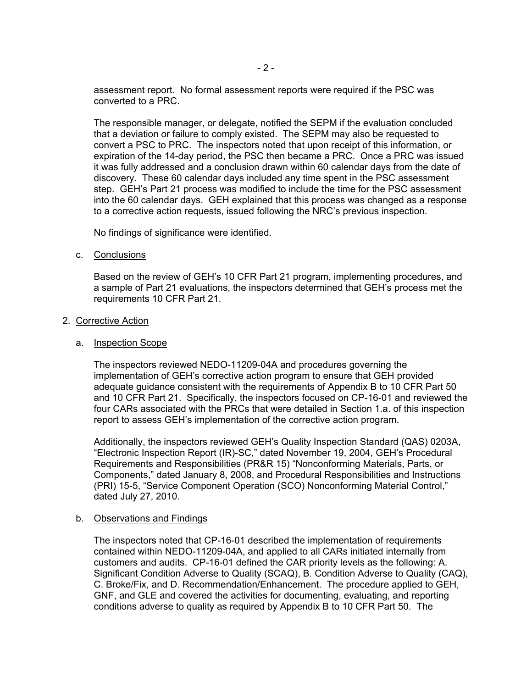assessment report. No formal assessment reports were required if the PSC was converted to a PRC.

The responsible manager, or delegate, notified the SEPM if the evaluation concluded that a deviation or failure to comply existed. The SEPM may also be requested to convert a PSC to PRC. The inspectors noted that upon receipt of this information, or expiration of the 14-day period, the PSC then became a PRC. Once a PRC was issued it was fully addressed and a conclusion drawn within 60 calendar days from the date of discovery. These 60 calendar days included any time spent in the PSC assessment step. GEH's Part 21 process was modified to include the time for the PSC assessment into the 60 calendar days. GEH explained that this process was changed as a response to a corrective action requests, issued following the NRC's previous inspection.

No findings of significance were identified.

c. Conclusions

Based on the review of GEH's 10 CFR Part 21 program, implementing procedures, and a sample of Part 21 evaluations, the inspectors determined that GEH's process met the requirements 10 CFR Part 21.

2. Corrective Action

### a. Inspection Scope

The inspectors reviewed NEDO-11209-04A and procedures governing the implementation of GEH's corrective action program to ensure that GEH provided adequate guidance consistent with the requirements of Appendix B to 10 CFR Part 50 and 10 CFR Part 21. Specifically, the inspectors focused on CP-16-01 and reviewed the four CARs associated with the PRCs that were detailed in Section 1.a. of this inspection report to assess GEH's implementation of the corrective action program.

Additionally, the inspectors reviewed GEH's Quality Inspection Standard (QAS) 0203A, "Electronic Inspection Report (IR)-SC," dated November 19, 2004, GEH's Procedural Requirements and Responsibilities (PR&R 15) "Nonconforming Materials, Parts, or Components," dated January 8, 2008, and Procedural Responsibilities and Instructions (PRI) 15-5, "Service Component Operation (SCO) Nonconforming Material Control," dated July 27, 2010.

#### b. Observations and Findings

The inspectors noted that CP-16-01 described the implementation of requirements contained within NEDO-11209-04A, and applied to all CARs initiated internally from customers and audits. CP-16-01 defined the CAR priority levels as the following: A. Significant Condition Adverse to Quality (SCAQ), B. Condition Adverse to Quality (CAQ), C. Broke/Fix, and D. Recommendation/Enhancement. The procedure applied to GEH, GNF, and GLE and covered the activities for documenting, evaluating, and reporting conditions adverse to quality as required by Appendix B to 10 CFR Part 50. The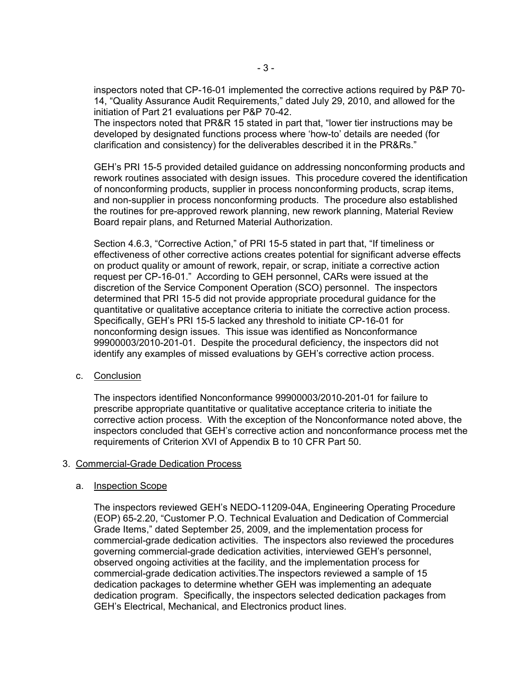inspectors noted that CP-16-01 implemented the corrective actions required by P&P 70- 14, "Quality Assurance Audit Requirements," dated July 29, 2010, and allowed for the initiation of Part 21 evaluations per P&P 70-42.

The inspectors noted that PR&R 15 stated in part that, "lower tier instructions may be developed by designated functions process where 'how-to' details are needed (for clarification and consistency) for the deliverables described it in the PR&Rs."

GEH's PRI 15-5 provided detailed guidance on addressing nonconforming products and rework routines associated with design issues. This procedure covered the identification of nonconforming products, supplier in process nonconforming products, scrap items, and non-supplier in process nonconforming products. The procedure also established the routines for pre-approved rework planning, new rework planning, Material Review Board repair plans, and Returned Material Authorization.

Section 4.6.3, "Corrective Action," of PRI 15-5 stated in part that, "If timeliness or effectiveness of other corrective actions creates potential for significant adverse effects on product quality or amount of rework, repair, or scrap, initiate a corrective action request per CP-16-01." According to GEH personnel, CARs were issued at the discretion of the Service Component Operation (SCO) personnel. The inspectors determined that PRI 15-5 did not provide appropriate procedural guidance for the quantitative or qualitative acceptance criteria to initiate the corrective action process. Specifically, GEH's PRI 15-5 lacked any threshold to initiate CP-16-01 for nonconforming design issues. This issue was identified as Nonconformance 99900003/2010-201-01. Despite the procedural deficiency, the inspectors did not identify any examples of missed evaluations by GEH's corrective action process.

c. Conclusion

The inspectors identified Nonconformance 99900003/2010-201-01 for failure to prescribe appropriate quantitative or qualitative acceptance criteria to initiate the corrective action process. With the exception of the Nonconformance noted above, the inspectors concluded that GEH's corrective action and nonconformance process met the requirements of Criterion XVI of Appendix B to 10 CFR Part 50.

### 3. Commercial-Grade Dedication Process

#### a. Inspection Scope

The inspectors reviewed GEH's NEDO-11209-04A, Engineering Operating Procedure (EOP) 65-2.20, "Customer P.O. Technical Evaluation and Dedication of Commercial Grade Items," dated September 25, 2009, and the implementation process for commercial-grade dedication activities. The inspectors also reviewed the procedures governing commercial-grade dedication activities, interviewed GEH's personnel, observed ongoing activities at the facility, and the implementation process for commercial-grade dedication activities.The inspectors reviewed a sample of 15 dedication packages to determine whether GEH was implementing an adequate dedication program. Specifically, the inspectors selected dedication packages from GEH's Electrical, Mechanical, and Electronics product lines.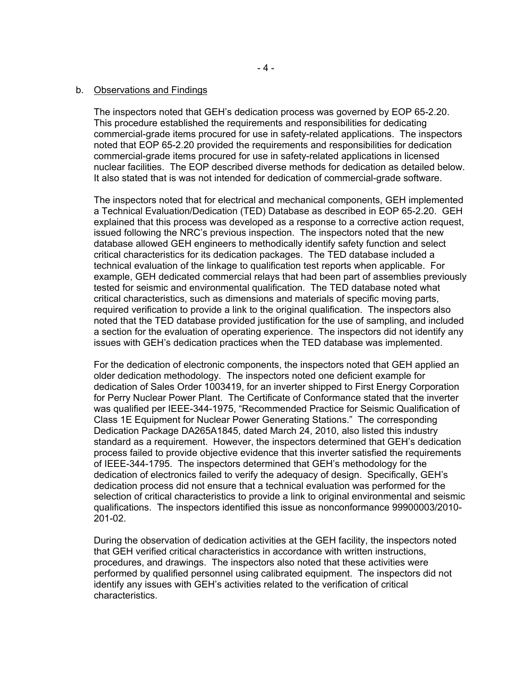#### b. Observations and Findings

The inspectors noted that GEH's dedication process was governed by EOP 65-2.20. This procedure established the requirements and responsibilities for dedicating commercial-grade items procured for use in safety-related applications. The inspectors noted that EOP 65-2.20 provided the requirements and responsibilities for dedication commercial-grade items procured for use in safety-related applications in licensed nuclear facilities. The EOP described diverse methods for dedication as detailed below. It also stated that is was not intended for dedication of commercial-grade software.

The inspectors noted that for electrical and mechanical components, GEH implemented a Technical Evaluation/Dedication (TED) Database as described in EOP 65-2.20. GEH explained that this process was developed as a response to a corrective action request, issued following the NRC's previous inspection. The inspectors noted that the new database allowed GEH engineers to methodically identify safety function and select critical characteristics for its dedication packages. The TED database included a technical evaluation of the linkage to qualification test reports when applicable. For example, GEH dedicated commercial relays that had been part of assemblies previously tested for seismic and environmental qualification. The TED database noted what critical characteristics, such as dimensions and materials of specific moving parts, required verification to provide a link to the original qualification. The inspectors also noted that the TED database provided justification for the use of sampling, and included a section for the evaluation of operating experience. The inspectors did not identify any issues with GEH's dedication practices when the TED database was implemented.

For the dedication of electronic components, the inspectors noted that GEH applied an older dedication methodology. The inspectors noted one deficient example for dedication of Sales Order 1003419, for an inverter shipped to First Energy Corporation for Perry Nuclear Power Plant. The Certificate of Conformance stated that the inverter was qualified per IEEE-344-1975, "Recommended Practice for Seismic Qualification of Class 1E Equipment for Nuclear Power Generating Stations." The corresponding Dedication Package DA265A1845, dated March 24, 2010, also listed this industry standard as a requirement. However, the inspectors determined that GEH's dedication process failed to provide objective evidence that this inverter satisfied the requirements of IEEE-344-1795. The inspectors determined that GEH's methodology for the dedication of electronics failed to verify the adequacy of design. Specifically, GEH's dedication process did not ensure that a technical evaluation was performed for the selection of critical characteristics to provide a link to original environmental and seismic qualifications. The inspectors identified this issue as nonconformance 99900003/2010- 201-02.

During the observation of dedication activities at the GEH facility, the inspectors noted that GEH verified critical characteristics in accordance with written instructions, procedures, and drawings. The inspectors also noted that these activities were performed by qualified personnel using calibrated equipment. The inspectors did not identify any issues with GEH's activities related to the verification of critical characteristics.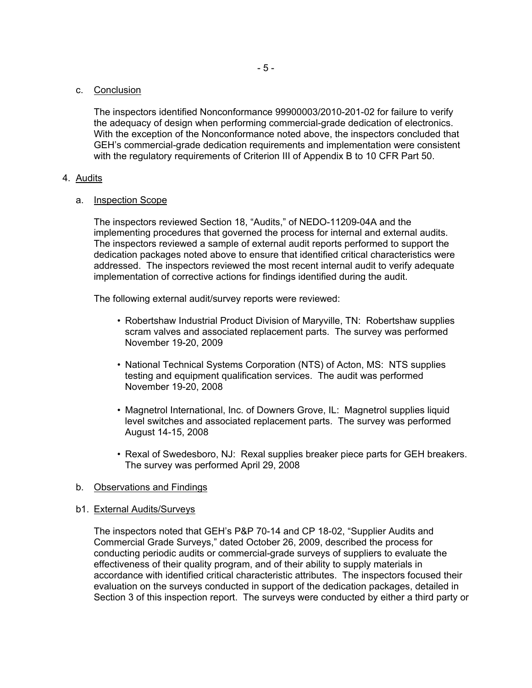### c. Conclusion

The inspectors identified Nonconformance 99900003/2010-201-02 for failure to verify the adequacy of design when performing commercial-grade dedication of electronics. With the exception of the Nonconformance noted above, the inspectors concluded that GEH's commercial-grade dedication requirements and implementation were consistent with the regulatory requirements of Criterion III of Appendix B to 10 CFR Part 50.

### 4. Audits

### a. Inspection Scope

The inspectors reviewed Section 18, "Audits," of NEDO-11209-04A and the implementing procedures that governed the process for internal and external audits. The inspectors reviewed a sample of external audit reports performed to support the dedication packages noted above to ensure that identified critical characteristics were addressed. The inspectors reviewed the most recent internal audit to verify adequate implementation of corrective actions for findings identified during the audit.

The following external audit/survey reports were reviewed:

- Robertshaw Industrial Product Division of Maryville, TN: Robertshaw supplies scram valves and associated replacement parts. The survey was performed November 19-20, 2009
- National Technical Systems Corporation (NTS) of Acton, MS: NTS supplies testing and equipment qualification services. The audit was performed November 19-20, 2008
- Magnetrol International, Inc. of Downers Grove, IL: Magnetrol supplies liquid level switches and associated replacement parts. The survey was performed August 14-15, 2008
- Rexal of Swedesboro, NJ: Rexal supplies breaker piece parts for GEH breakers. The survey was performed April 29, 2008

### b. Observations and Findings

#### b1. External Audits/Surveys

The inspectors noted that GEH's P&P 70-14 and CP 18-02, "Supplier Audits and Commercial Grade Surveys," dated October 26, 2009, described the process for conducting periodic audits or commercial-grade surveys of suppliers to evaluate the effectiveness of their quality program, and of their ability to supply materials in accordance with identified critical characteristic attributes. The inspectors focused their evaluation on the surveys conducted in support of the dedication packages, detailed in Section 3 of this inspection report. The surveys were conducted by either a third party or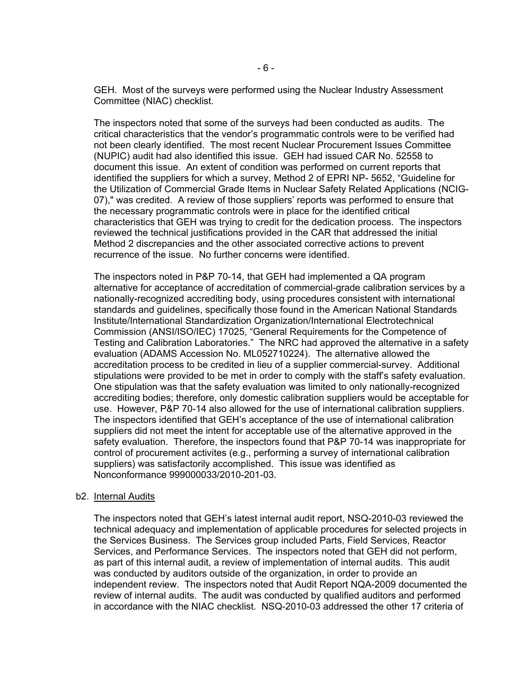GEH. Most of the surveys were performed using the Nuclear Industry Assessment Committee (NIAC) checklist.

The inspectors noted that some of the surveys had been conducted as audits. The critical characteristics that the vendor's programmatic controls were to be verified had not been clearly identified. The most recent Nuclear Procurement Issues Committee (NUPIC) audit had also identified this issue. GEH had issued CAR No. 52558 to document this issue. An extent of condition was performed on current reports that identified the suppliers for which a survey, Method 2 of EPRI NP- 5652, "Guideline for the Utilization of Commercial Grade Items in Nuclear Safety Related Applications (NCIG-07)," was credited. A review of those suppliers' reports was performed to ensure that the necessary programmatic controls were in place for the identified critical characteristics that GEH was trying to credit for the dedication process. The inspectors reviewed the technical justifications provided in the CAR that addressed the initial Method 2 discrepancies and the other associated corrective actions to prevent recurrence of the issue. No further concerns were identified.

The inspectors noted in P&P 70-14, that GEH had implemented a QA program alternative for acceptance of accreditation of commercial-grade calibration services by a nationally-recognized accrediting body, using procedures consistent with international standards and guidelines, specifically those found in the American National Standards Institute/International Standardization Organization/International Electrotechnical Commission (ANSI/ISO/IEC) 17025, "General Requirements for the Competence of Testing and Calibration Laboratories." The NRC had approved the alternative in a safety evaluation (ADAMS Accession No. ML052710224). The alternative allowed the accreditation process to be credited in lieu of a supplier commercial-survey. Additional stipulations were provided to be met in order to comply with the staff's safety evaluation. One stipulation was that the safety evaluation was limited to only nationally-recognized accrediting bodies; therefore, only domestic calibration suppliers would be acceptable for use. However, P&P 70-14 also allowed for the use of international calibration suppliers. The inspectors identified that GEH's acceptance of the use of international calibration suppliers did not meet the intent for acceptable use of the alternative approved in the safety evaluation. Therefore, the inspectors found that P&P 70-14 was inappropriate for control of procurement activites (e.g., performing a survey of international calibration suppliers) was satisfactorily accomplished. This issue was identified as Nonconformance 999000033/2010-201-03.

#### b2. Internal Audits

The inspectors noted that GEH's latest internal audit report, NSQ-2010-03 reviewed the technical adequacy and implementation of applicable procedures for selected projects in the Services Business. The Services group included Parts, Field Services, Reactor Services, and Performance Services. The inspectors noted that GEH did not perform, as part of this internal audit, a review of implementation of internal audits. This audit was conducted by auditors outside of the organization, in order to provide an independent review. The inspectors noted that Audit Report NQA-2009 documented the review of internal audits. The audit was conducted by qualified auditors and performed in accordance with the NIAC checklist. NSQ-2010-03 addressed the other 17 criteria of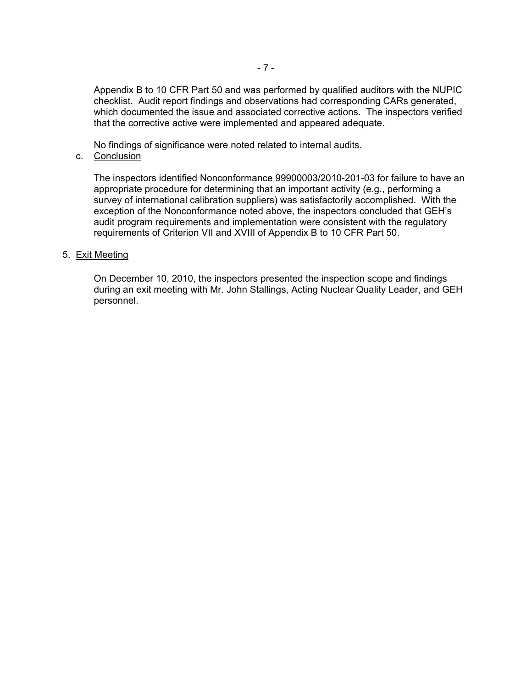Appendix B to 10 CFR Part 50 and was performed by qualified auditors with the NUPIC checklist. Audit report findings and observations had corresponding CARs generated, which documented the issue and associated corrective actions. The inspectors verified that the corrective active were implemented and appeared adequate.

No findings of significance were noted related to internal audits.

### c. Conclusion

The inspectors identified Nonconformance 99900003/2010-201-03 for failure to have an appropriate procedure for determining that an important activity (e.g., performing a survey of international calibration suppliers) was satisfactorily accomplished. With the exception of the Nonconformance noted above, the inspectors concluded that GEH's audit program requirements and implementation were consistent with the regulatory requirements of Criterion VII and XVIII of Appendix B to 10 CFR Part 50.

### 5. Exit Meeting

On December 10, 2010, the inspectors presented the inspection scope and findings during an exit meeting with Mr. John Stallings, Acting Nuclear Quality Leader, and GEH personnel.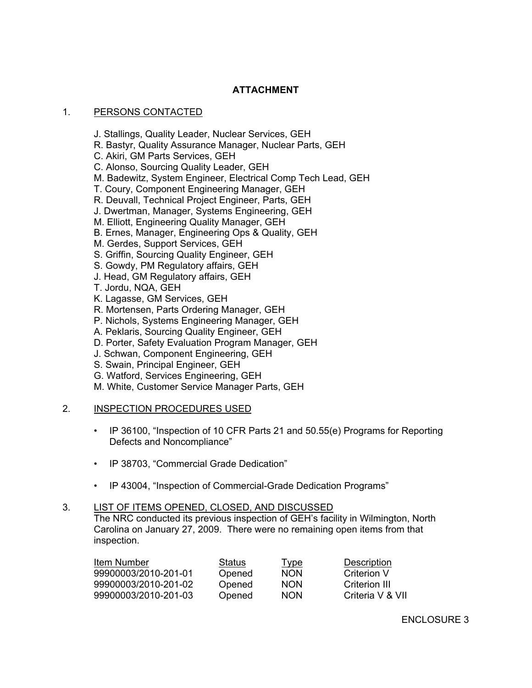# **ATTACHMENT**

# 1. PERSONS CONTACTED

- J. Stallings, Quality Leader, Nuclear Services, GEH
- R. Bastyr, Quality Assurance Manager, Nuclear Parts, GEH
- C. Akiri, GM Parts Services, GEH
- C. Alonso, Sourcing Quality Leader, GEH
- M. Badewitz, System Engineer, Electrical Comp Tech Lead, GEH
- T. Coury, Component Engineering Manager, GEH
- R. Deuvall, Technical Project Engineer, Parts, GEH
- J. Dwertman, Manager, Systems Engineering, GEH
- M. Elliott, Engineering Quality Manager, GEH
- B. Ernes, Manager, Engineering Ops & Quality, GEH
- M. Gerdes, Support Services, GEH
- S. Griffin, Sourcing Quality Engineer, GEH
- S. Gowdy, PM Regulatory affairs, GEH
- J. Head, GM Regulatory affairs, GEH
- T. Jordu, NQA, GEH
- K. Lagasse, GM Services, GEH
- R. Mortensen, Parts Ordering Manager, GEH
- P. Nichols, Systems Engineering Manager, GEH
- A. Peklaris, Sourcing Quality Engineer, GEH
- D. Porter, Safety Evaluation Program Manager, GEH
- J. Schwan, Component Engineering, GEH
- S. Swain, Principal Engineer, GEH
- G. Watford, Services Engineering, GEH
- M. White, Customer Service Manager Parts, GEH

# 2. INSPECTION PROCEDURES USED

- IP 36100, "Inspection of 10 CFR Parts 21 and 50.55(e) Programs for Reporting Defects and Noncompliance"
- IP 38703, "Commercial Grade Dedication"
- IP 43004, "Inspection of Commercial-Grade Dedication Programs"

### 3. LIST OF ITEMS OPENED, CLOSED, AND DISCUSSED

The NRC conducted its previous inspection of GEH's facility in Wilmington, North Carolina on January 27, 2009. There were no remaining open items from that inspection.

| Item Number          | Status | <u>Type</u> | Description      |
|----------------------|--------|-------------|------------------|
| 99900003/2010-201-01 | Opened | <b>NON</b>  | Criterion V      |
| 99900003/2010-201-02 | Opened | <b>NON</b>  | Criterion III    |
| 99900003/2010-201-03 | Opened | <b>NON</b>  | Criteria V & VII |